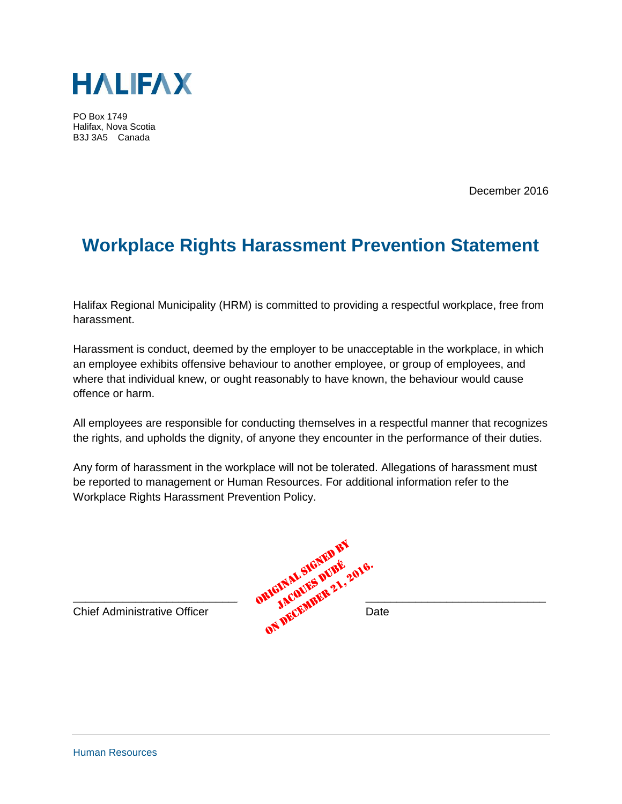

PO Box 1749 Halifax, Nova Scotia B3J 3A5 Canada

December 2016

## **Workplace Rights Harassment Prevention Statement**

Halifax Regional Municipality (HRM) is committed to providing a respectful workplace, free from harassment.

Harassment is conduct, deemed by the employer to be unacceptable in the workplace, in which an employee exhibits offensive behaviour to another employee, or group of employees, and where that individual knew, or ought reasonably to have known, the behaviour would cause offence or harm.

All employees are responsible for conducting themselves in a respectful manner that recognizes the rights, and upholds the dignity, of anyone they encounter in the performance of their duties.

Any form of harassment in the workplace will not be tolerated. Allegations of harassment must be reported to management or Human Resources. For additional information refer to the Workplace Rights Harassment Prevention Policy.

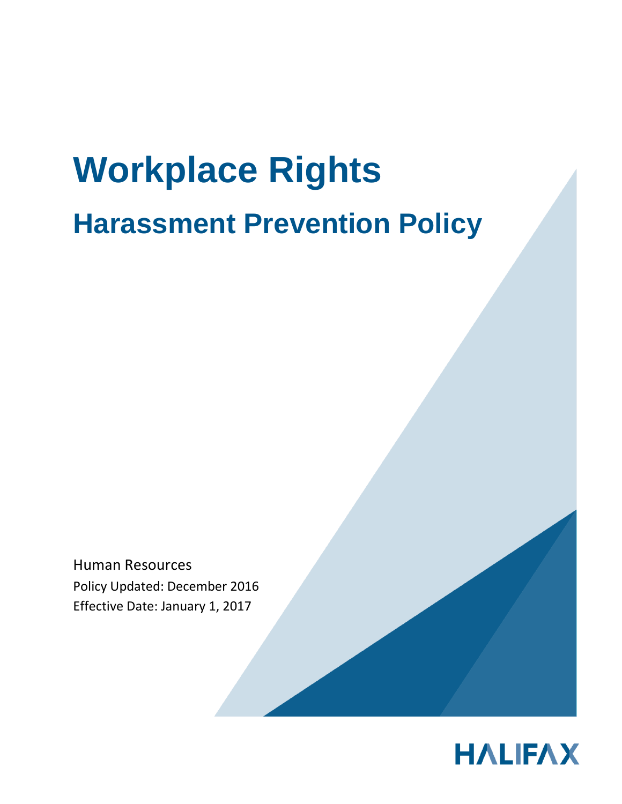# **Workplace Rights Harassment Prevention Policy**

Human Resources Policy Updated: December 2016 Effective Date: January 1, 2017

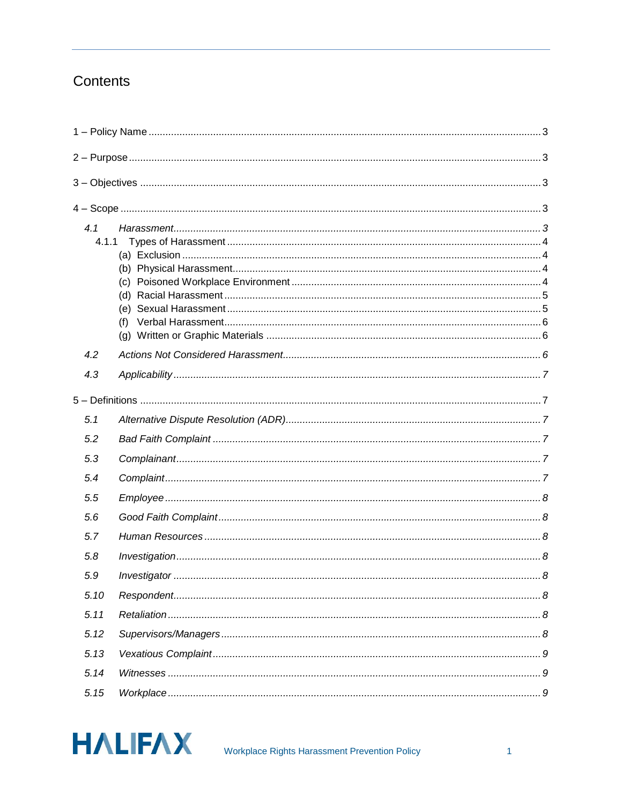### Contents

| 4.1<br>4.1.1 |  |
|--------------|--|
| 4.2          |  |
| 4.3          |  |
|              |  |
| 5.1          |  |
| 5.2          |  |
| 5.3          |  |
| 5.4          |  |
| 5.5          |  |
| 5.6          |  |
| 5.7          |  |
| 5.8          |  |
| 5.9          |  |
| 5.10         |  |
| 5.11         |  |
| 5.12         |  |
| 5.13         |  |
| 5.14         |  |
| 5.15         |  |

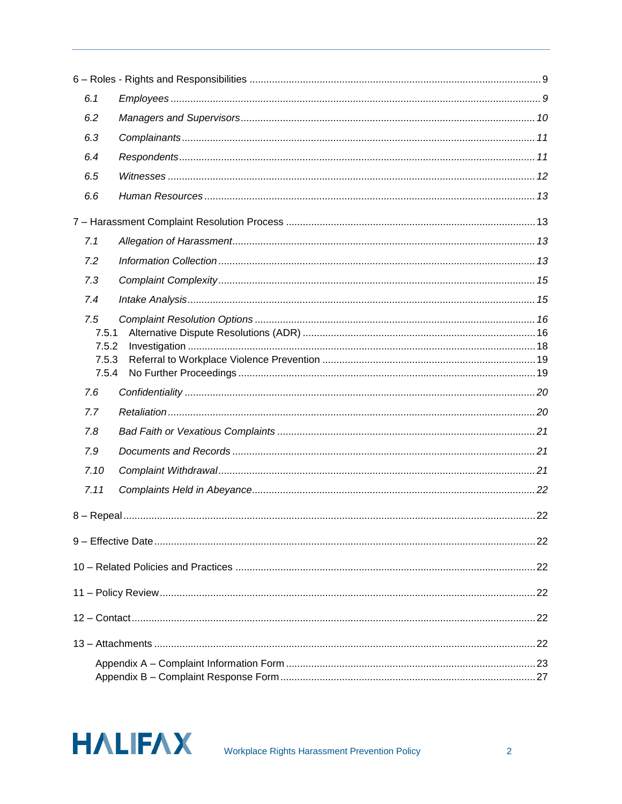| 6.1          |  |
|--------------|--|
| 6.2          |  |
| 6.3          |  |
| 6.4          |  |
| 6.5          |  |
| 6.6          |  |
|              |  |
| 7.1          |  |
| 7.2          |  |
| 7.3          |  |
| 7.4          |  |
| 7.5<br>7.5.1 |  |
| 7.5.2        |  |
| 7.5.3        |  |
| 7.5.4<br>7.6 |  |
|              |  |
| 7.7          |  |
| 7.8          |  |
| 7.9          |  |
| 7.10         |  |
| 7.11         |  |
|              |  |
|              |  |
|              |  |
|              |  |
|              |  |
|              |  |
|              |  |
|              |  |

<span id="page-3-0"></span>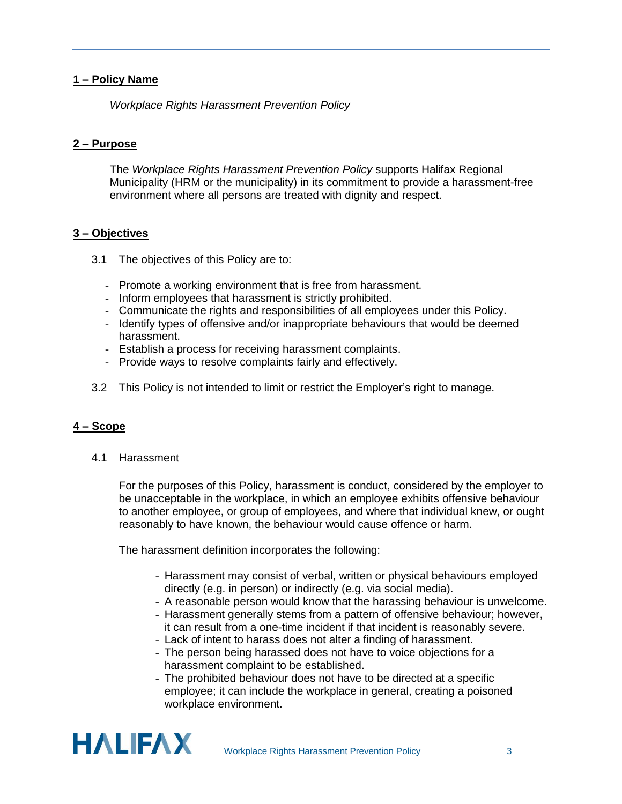#### **1 – Policy Name**

*Workplace Rights Harassment Prevention Policy*

#### <span id="page-4-0"></span>**2 – Purpose**

The *Workplace Rights Harassment Prevention Policy* supports Halifax Regional Municipality (HRM or the municipality) in its commitment to provide a harassment-free environment where all persons are treated with dignity and respect.

#### <span id="page-4-1"></span>**3 – Objectives**

- 3.1 The objectives of this Policy are to:
	- Promote a working environment that is free from harassment.
	- Inform employees that harassment is strictly prohibited.
	- Communicate the rights and responsibilities of all employees under this Policy.
	- Identify types of offensive and/or inappropriate behaviours that would be deemed harassment.
	- Establish a process for receiving harassment complaints.
	- Provide ways to resolve complaints fairly and effectively.
- 3.2 This Policy is not intended to limit or restrict the Employer's right to manage.

#### <span id="page-4-2"></span>**4 – Scope**

<span id="page-4-3"></span>4.1 Harassment

For the purposes of this Policy, harassment is conduct, considered by the employer to be unacceptable in the workplace, in which an employee exhibits offensive behaviour to another employee, or group of employees, and where that individual knew, or ought reasonably to have known, the behaviour would cause offence or harm.

The harassment definition incorporates the following:

- Harassment may consist of verbal, written or physical behaviours employed directly (e.g. in person) or indirectly (e.g. via social media).
- A reasonable person would know that the harassing behaviour is unwelcome.
- Harassment generally stems from a pattern of offensive behaviour; however, it can result from a one-time incident if that incident is reasonably severe.
- Lack of intent to harass does not alter a finding of harassment.
- The person being harassed does not have to voice objections for a harassment complaint to be established.
- The prohibited behaviour does not have to be directed at a specific employee; it can include the workplace in general, creating a poisoned workplace environment.

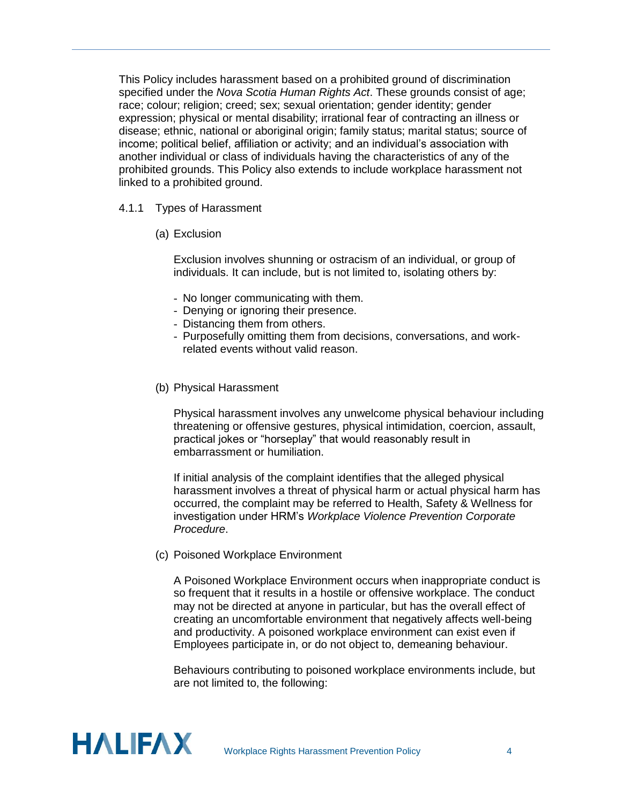This Policy includes harassment based on a prohibited ground of discrimination specified under the *Nova Scotia Human Rights Act*. These grounds consist of age; race; colour; religion; creed; sex; sexual orientation; gender identity; gender expression; physical or mental disability; irrational fear of contracting an illness or disease; ethnic, national or aboriginal origin; family status; marital status; source of income; political belief, affiliation or activity; and an individual's association with another individual or class of individuals having the characteristics of any of the prohibited grounds. This Policy also extends to include workplace harassment not linked to a prohibited ground.

#### <span id="page-5-1"></span><span id="page-5-0"></span>4.1.1 Types of Harassment

(a) Exclusion

Exclusion involves shunning or ostracism of an individual, or group of individuals. It can include, but is not limited to, isolating others by:

- No longer communicating with them.
- Denying or ignoring their presence.
- Distancing them from others.
- Purposefully omitting them from decisions, conversations, and workrelated events without valid reason.
- <span id="page-5-2"></span>(b) Physical Harassment

Physical harassment involves any unwelcome physical behaviour including threatening or offensive gestures, physical intimidation, coercion, assault, practical jokes or "horseplay" that would reasonably result in embarrassment or humiliation.

If initial analysis of the complaint identifies that the alleged physical harassment involves a threat of physical harm or actual physical harm has occurred, the complaint may be referred to Health, Safety & Wellness for investigation under HRM's *Workplace Violence Prevention Corporate Procedure*.

<span id="page-5-3"></span>(c) Poisoned Workplace Environment

A Poisoned Workplace Environment occurs when inappropriate conduct is so frequent that it results in a hostile or offensive workplace. The conduct may not be directed at anyone in particular, but has the overall effect of creating an uncomfortable environment that negatively affects well-being and productivity. A poisoned workplace environment can exist even if Employees participate in, or do not object to, demeaning behaviour.

Behaviours contributing to poisoned workplace environments include, but are not limited to, the following:

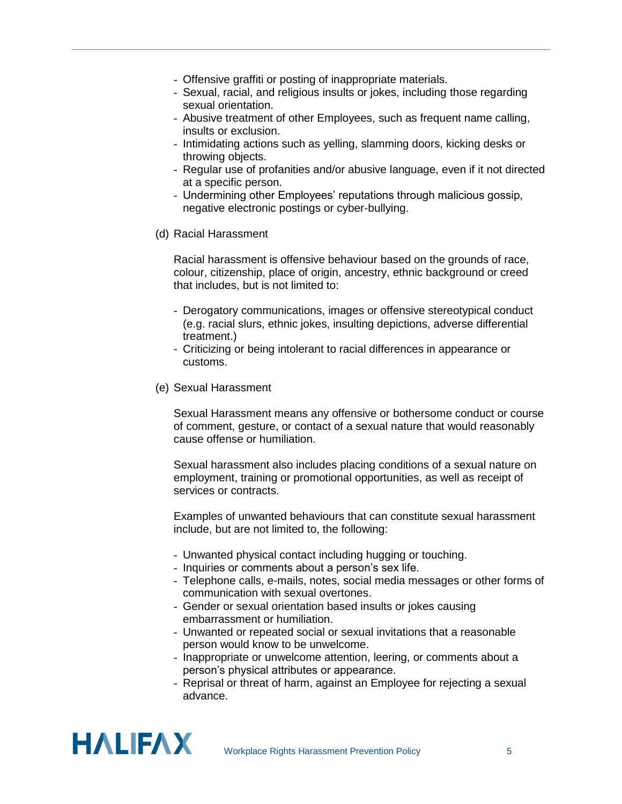- Offensive graffiti or posting of inappropriate materials.
- Sexual, racial, and religious insults or jokes, including those regarding sexual orientation.
- Abusive treatment of other Employees, such as frequent name calling, insults or exclusion.
- Intimidating actions such as yelling, slamming doors, kicking desks or throwing objects.
- Regular use of profanities and/or abusive language, even if it not directed at a specific person.
- Undermining other Employees' reputations through malicious gossip, negative electronic postings or cyber-bullying.
- <span id="page-6-0"></span>(d) Racial Harassment

Racial harassment is offensive behaviour based on the grounds of race, colour, citizenship, place of origin, ancestry, ethnic background or creed that includes, but is not limited to:

- Derogatory communications, images or offensive stereotypical conduct (e.g. racial slurs, ethnic jokes, insulting depictions, adverse differential treatment.)
- Criticizing or being intolerant to racial differences in appearance or customs.
- <span id="page-6-1"></span>(e) Sexual Harassment

Sexual Harassment means any offensive or bothersome conduct or course of comment, gesture, or contact of a sexual nature that would reasonably cause offense or humiliation.

Sexual harassment also includes placing conditions of a sexual nature on employment, training or promotional opportunities, as well as receipt of services or contracts.

Examples of unwanted behaviours that can constitute sexual harassment include, but are not limited to, the following:

- Unwanted physical contact including hugging or touching.
- Inquiries or comments about a person's sex life.
- Telephone calls, e-mails, notes, social media messages or other forms of communication with sexual overtones.
- Gender or sexual orientation based insults or jokes causing embarrassment or humiliation.
- Unwanted or repeated social or sexual invitations that a reasonable person would know to be unwelcome.
- Inappropriate or unwelcome attention, leering, or comments about a person's physical attributes or appearance.
- Reprisal or threat of harm, against an Employee for rejecting a sexual advance.

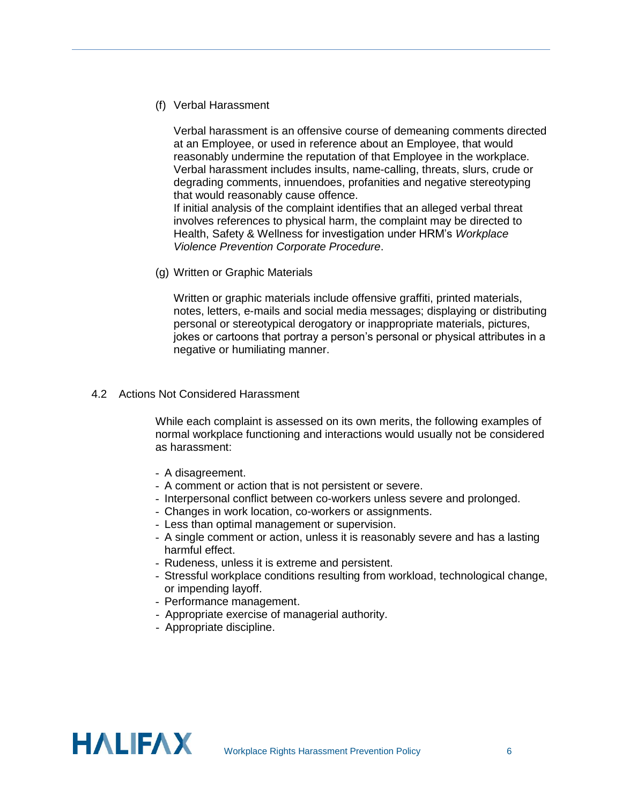<span id="page-7-0"></span>(f) Verbal Harassment

Verbal harassment is an offensive course of demeaning comments directed at an Employee, or used in reference about an Employee, that would reasonably undermine the reputation of that Employee in the workplace. Verbal harassment includes insults, name-calling, threats, slurs, crude or degrading comments, innuendoes, profanities and negative stereotyping that would reasonably cause offence.

If initial analysis of the complaint identifies that an alleged verbal threat involves references to physical harm, the complaint may be directed to Health, Safety & Wellness for investigation under HRM's *Workplace Violence Prevention Corporate Procedure*.

<span id="page-7-1"></span>(g) Written or Graphic Materials

Written or graphic materials include offensive graffiti, printed materials, notes, letters, e-mails and social media messages; displaying or distributing personal or stereotypical derogatory or inappropriate materials, pictures, jokes or cartoons that portray a person's personal or physical attributes in a negative or humiliating manner.

#### <span id="page-7-2"></span>4.2 Actions Not Considered Harassment

While each complaint is assessed on its own merits, the following examples of normal workplace functioning and interactions would usually not be considered as harassment:

- A disagreement.
- A comment or action that is not persistent or severe.
- Interpersonal conflict between co-workers unless severe and prolonged.
- Changes in work location, co-workers or assignments.
- Less than optimal management or supervision.
- A single comment or action, unless it is reasonably severe and has a lasting harmful effect.
- Rudeness, unless it is extreme and persistent.
- Stressful workplace conditions resulting from workload, technological change, or impending layoff.
- Performance management.
- Appropriate exercise of managerial authority.
- Appropriate discipline.

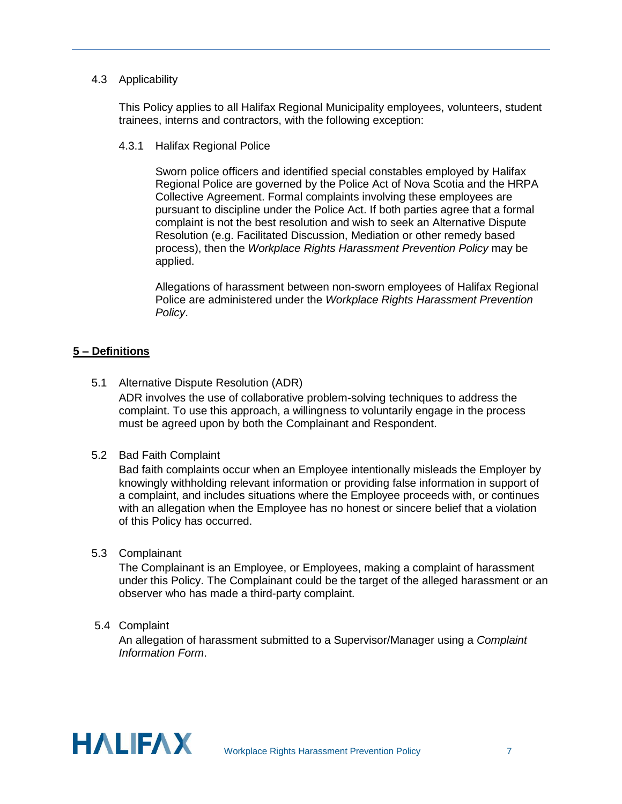#### <span id="page-8-0"></span>4.3 Applicability

This Policy applies to all Halifax Regional Municipality employees, volunteers, student trainees, interns and contractors, with the following exception:

4.3.1 Halifax Regional Police

Sworn police officers and identified special constables employed by Halifax Regional Police are governed by the Police Act of Nova Scotia and the HRPA Collective Agreement. Formal complaints involving these employees are pursuant to discipline under the Police Act. If both parties agree that a formal complaint is not the best resolution and wish to seek an Alternative Dispute Resolution (e.g. Facilitated Discussion, Mediation or other remedy based process), then the *Workplace Rights Harassment Prevention Policy* may be applied.

Allegations of harassment between non-sworn employees of Halifax Regional Police are administered under the *Workplace Rights Harassment Prevention Policy*.

#### <span id="page-8-1"></span>**5 – Definitions**

- <span id="page-8-2"></span>5.1 Alternative Dispute Resolution (ADR) ADR involves the use of collaborative problem-solving techniques to address the complaint. To use this approach, a willingness to voluntarily engage in the process must be agreed upon by both the Complainant and Respondent.
- <span id="page-8-3"></span>5.2 Bad Faith Complaint

Bad faith complaints occur when an Employee intentionally misleads the Employer by knowingly withholding relevant information or providing false information in support of a complaint, and includes situations where the Employee proceeds with, or continues with an allegation when the Employee has no honest or sincere belief that a violation of this Policy has occurred.

<span id="page-8-4"></span>5.3 Complainant

The Complainant is an Employee, or Employees, making a complaint of harassment under this Policy. The Complainant could be the target of the alleged harassment or an observer who has made a third-party complaint.

<span id="page-8-5"></span>5.4 Complaint

An allegation of harassment submitted to a Supervisor/Manager using a *Complaint Information Form*.

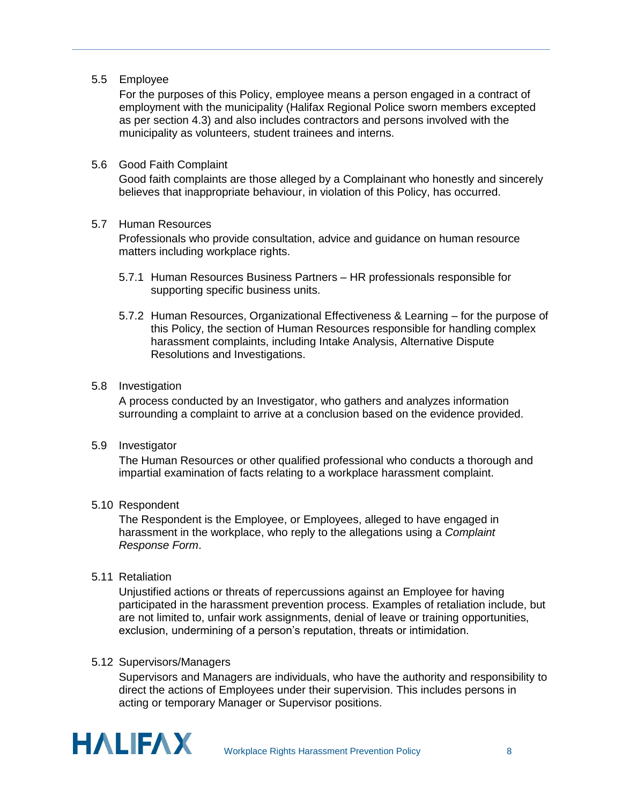<span id="page-9-0"></span>5.5 Employee

For the purposes of this Policy, employee means a person engaged in a contract of employment with the municipality (Halifax Regional Police sworn members excepted as per section 4.3) and also includes contractors and persons involved with the municipality as volunteers, student trainees and interns.

#### <span id="page-9-1"></span>5.6 Good Faith Complaint

Good faith complaints are those alleged by a Complainant who honestly and sincerely believes that inappropriate behaviour, in violation of this Policy, has occurred.

#### <span id="page-9-2"></span>5.7 Human Resources

Professionals who provide consultation, advice and guidance on human resource matters including workplace rights.

- 5.7.1 Human Resources Business Partners HR professionals responsible for supporting specific business units.
- 5.7.2 Human Resources, Organizational Effectiveness & Learning for the purpose of this Policy, the section of Human Resources responsible for handling complex harassment complaints, including Intake Analysis, Alternative Dispute Resolutions and Investigations.

#### <span id="page-9-3"></span>5.8 Investigation

A process conducted by an Investigator, who gathers and analyzes information surrounding a complaint to arrive at a conclusion based on the evidence provided.

<span id="page-9-4"></span>5.9 Investigator

The Human Resources or other qualified professional who conducts a thorough and impartial examination of facts relating to a workplace harassment complaint.

#### <span id="page-9-5"></span>5.10 Respondent

The Respondent is the Employee, or Employees, alleged to have engaged in harassment in the workplace, who reply to the allegations using a *Complaint Response Form*.

#### <span id="page-9-6"></span>5.11 Retaliation

Unjustified actions or threats of repercussions against an Employee for having participated in the harassment prevention process. Examples of retaliation include, but are not limited to, unfair work assignments, denial of leave or training opportunities, exclusion, undermining of a person's reputation, threats or intimidation.

#### <span id="page-9-7"></span>5.12 Supervisors/Managers

Supervisors and Managers are individuals, who have the authority and responsibility to direct the actions of Employees under their supervision. This includes persons in acting or temporary Manager or Supervisor positions.

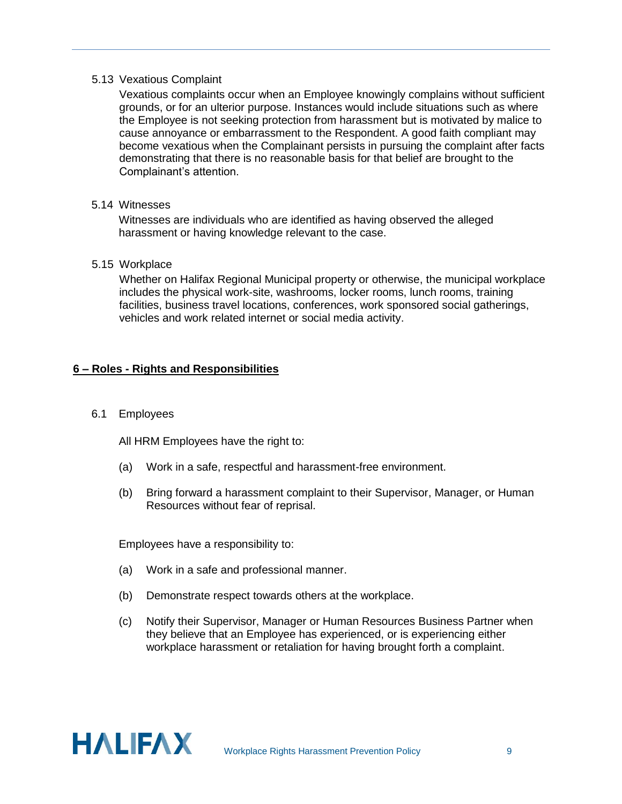#### <span id="page-10-0"></span>5.13 Vexatious Complaint

Vexatious complaints occur when an Employee knowingly complains without sufficient grounds, or for an ulterior purpose. Instances would include situations such as where the Employee is not seeking protection from harassment but is motivated by malice to cause annoyance or embarrassment to the Respondent. A good faith compliant may become vexatious when the Complainant persists in pursuing the complaint after facts demonstrating that there is no reasonable basis for that belief are brought to the Complainant's attention.

#### <span id="page-10-1"></span>5.14 Witnesses

Witnesses are individuals who are identified as having observed the alleged harassment or having knowledge relevant to the case.

#### <span id="page-10-2"></span>5.15 Workplace

Whether on Halifax Regional Municipal property or otherwise, the municipal workplace includes the physical work-site, washrooms, locker rooms, lunch rooms, training facilities, business travel locations, conferences, work sponsored social gatherings, vehicles and work related internet or social media activity.

#### <span id="page-10-3"></span>**6 – Roles - Rights and Responsibilities**

#### <span id="page-10-4"></span>6.1 Employees

All HRM Employees have the right to:

- (a) Work in a safe, respectful and harassment-free environment.
- (b) Bring forward a harassment complaint to their Supervisor, Manager, or Human Resources without fear of reprisal.

Employees have a responsibility to:

- (a) Work in a safe and professional manner.
- (b) Demonstrate respect towards others at the workplace.
- (c) Notify their Supervisor, Manager or Human Resources Business Partner when they believe that an Employee has experienced, or is experiencing either workplace harassment or retaliation for having brought forth a complaint.

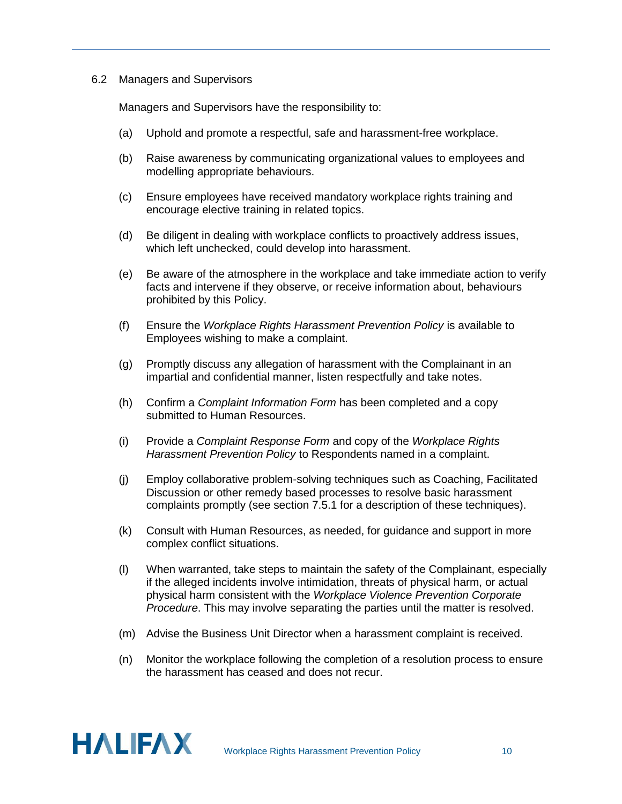#### <span id="page-11-0"></span>6.2 Managers and Supervisors

Managers and Supervisors have the responsibility to:

- (a) Uphold and promote a respectful, safe and harassment-free workplace.
- (b) Raise awareness by communicating organizational values to employees and modelling appropriate behaviours.
- (c) Ensure employees have received mandatory workplace rights training and encourage elective training in related topics.
- (d) Be diligent in dealing with workplace conflicts to proactively address issues, which left unchecked, could develop into harassment.
- (e) Be aware of the atmosphere in the workplace and take immediate action to verify facts and intervene if they observe, or receive information about, behaviours prohibited by this Policy.
- (f) Ensure the *Workplace Rights Harassment Prevention Policy* is available to Employees wishing to make a complaint.
- (g) Promptly discuss any allegation of harassment with the Complainant in an impartial and confidential manner, listen respectfully and take notes.
- (h) Confirm a *Complaint Information Form* has been completed and a copy submitted to Human Resources.
- (i) Provide a *Complaint Response Form* and copy of the *Workplace Rights Harassment Prevention Policy* to Respondents named in a complaint.
- (j) Employ collaborative problem-solving techniques such as Coaching, Facilitated Discussion or other remedy based processes to resolve basic harassment complaints promptly (see section 7.5.1 for a description of these techniques).
- (k) Consult with Human Resources, as needed, for guidance and support in more complex conflict situations.
- (l) When warranted, take steps to maintain the safety of the Complainant, especially if the alleged incidents involve intimidation, threats of physical harm, or actual physical harm consistent with the *Workplace Violence Prevention Corporate Procedure*. This may involve separating the parties until the matter is resolved.
- (m) Advise the Business Unit Director when a harassment complaint is received.
- (n) Monitor the workplace following the completion of a resolution process to ensure the harassment has ceased and does not recur.

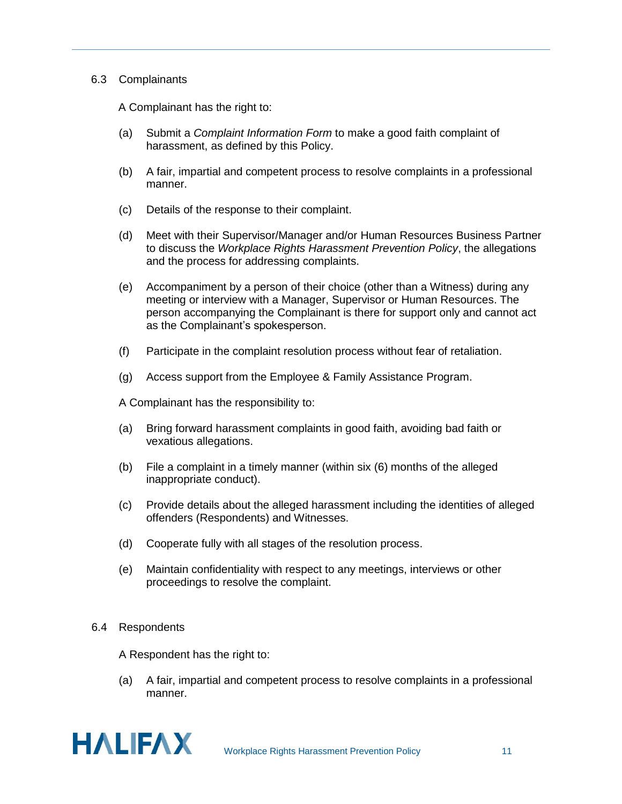#### <span id="page-12-0"></span>6.3 Complainants

A Complainant has the right to:

- (a) Submit a *Complaint Information Form* to make a good faith complaint of harassment, as defined by this Policy.
- (b) A fair, impartial and competent process to resolve complaints in a professional manner.
- (c) Details of the response to their complaint.
- (d) Meet with their Supervisor/Manager and/or Human Resources Business Partner to discuss the *Workplace Rights Harassment Prevention Policy*, the allegations and the process for addressing complaints.
- (e) Accompaniment by a person of their choice (other than a Witness) during any meeting or interview with a Manager, Supervisor or Human Resources. The person accompanying the Complainant is there for support only and cannot act as the Complainant's spokesperson.
- (f) Participate in the complaint resolution process without fear of retaliation.
- (g) Access support from the Employee & Family Assistance Program.

A Complainant has the responsibility to:

- (a) Bring forward harassment complaints in good faith, avoiding bad faith or vexatious allegations.
- (b) File a complaint in a timely manner (within six (6) months of the alleged inappropriate conduct).
- (c) Provide details about the alleged harassment including the identities of alleged offenders (Respondents) and Witnesses.
- (d) Cooperate fully with all stages of the resolution process.
- (e) Maintain confidentiality with respect to any meetings, interviews or other proceedings to resolve the complaint.

#### <span id="page-12-1"></span>6.4 Respondents

A Respondent has the right to:

(a) A fair, impartial and competent process to resolve complaints in a professional manner.

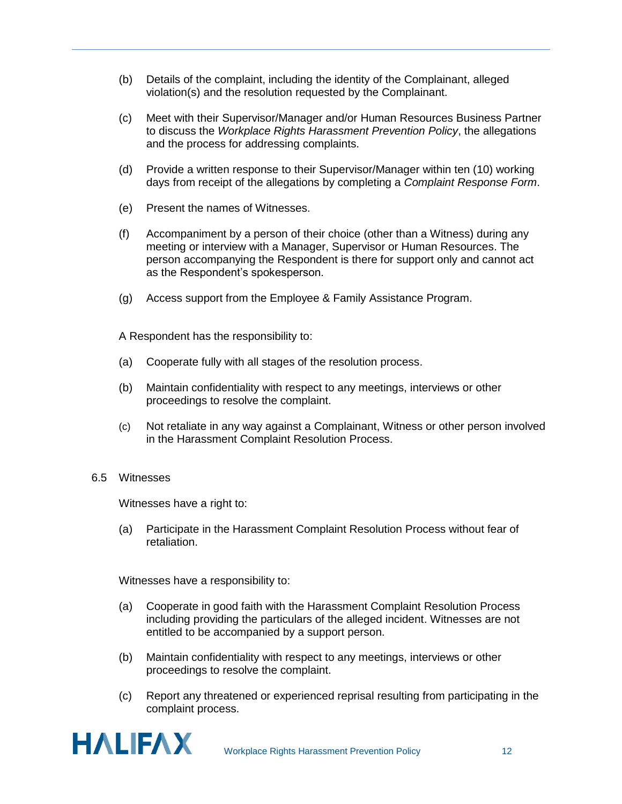- (b) Details of the complaint, including the identity of the Complainant, alleged violation(s) and the resolution requested by the Complainant.
- (c) Meet with their Supervisor/Manager and/or Human Resources Business Partner to discuss the *Workplace Rights Harassment Prevention Policy*, the allegations and the process for addressing complaints.
- (d) Provide a written response to their Supervisor/Manager within ten (10) working days from receipt of the allegations by completing a *Complaint Response Form*.
- (e) Present the names of Witnesses.
- (f) Accompaniment by a person of their choice (other than a Witness) during any meeting or interview with a Manager, Supervisor or Human Resources. The person accompanying the Respondent is there for support only and cannot act as the Respondent's spokesperson.
- (g) Access support from the Employee & Family Assistance Program.

A Respondent has the responsibility to:

- (a) Cooperate fully with all stages of the resolution process.
- (b) Maintain confidentiality with respect to any meetings, interviews or other proceedings to resolve the complaint.
- (c) Not retaliate in any way against a Complainant, Witness or other person involved in the Harassment Complaint Resolution Process.
- <span id="page-13-0"></span>6.5 Witnesses

Witnesses have a right to:

(a) Participate in the Harassment Complaint Resolution Process without fear of retaliation.

Witnesses have a responsibility to:

- (a) Cooperate in good faith with the Harassment Complaint Resolution Process including providing the particulars of the alleged incident. Witnesses are not entitled to be accompanied by a support person.
- (b) Maintain confidentiality with respect to any meetings, interviews or other proceedings to resolve the complaint.
- (c) Report any threatened or experienced reprisal resulting from participating in the complaint process.

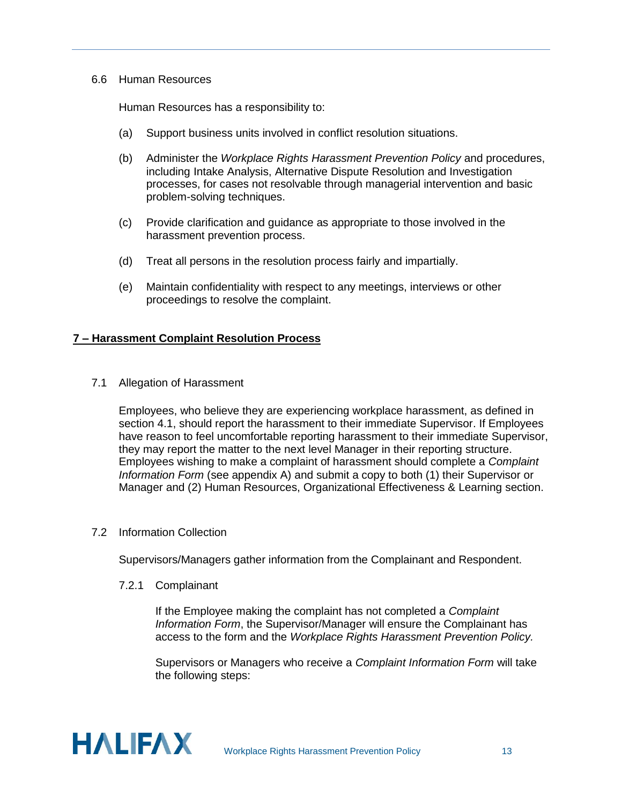#### <span id="page-14-0"></span>6.6 Human Resources

Human Resources has a responsibility to:

- (a) Support business units involved in conflict resolution situations.
- (b) Administer the *Workplace Rights Harassment Prevention Policy* and procedures, including Intake Analysis, Alternative Dispute Resolution and Investigation processes, for cases not resolvable through managerial intervention and basic problem-solving techniques.
- (c) Provide clarification and guidance as appropriate to those involved in the harassment prevention process.
- (d) Treat all persons in the resolution process fairly and impartially.
- (e) Maintain confidentiality with respect to any meetings, interviews or other proceedings to resolve the complaint.

#### <span id="page-14-1"></span>**7 – Harassment Complaint Resolution Process**

<span id="page-14-2"></span>7.1 Allegation of Harassment

Employees, who believe they are experiencing workplace harassment, as defined in section 4.1, should report the harassment to their immediate Supervisor. If Employees have reason to feel uncomfortable reporting harassment to their immediate Supervisor, they may report the matter to the next level Manager in their reporting structure. Employees wishing to make a complaint of harassment should complete a *Complaint Information Form* (see appendix A) and submit a copy to both (1) their Supervisor or Manager and (2) Human Resources, Organizational Effectiveness & Learning section.

<span id="page-14-3"></span>7.2 Information Collection

Supervisors/Managers gather information from the Complainant and Respondent.

7.2.1 Complainant

If the Employee making the complaint has not completed a *Complaint Information Form*, the Supervisor/Manager will ensure the Complainant has access to the form and the *Workplace Rights Harassment Prevention Policy.*

Supervisors or Managers who receive a *Complaint Information Form* will take the following steps:

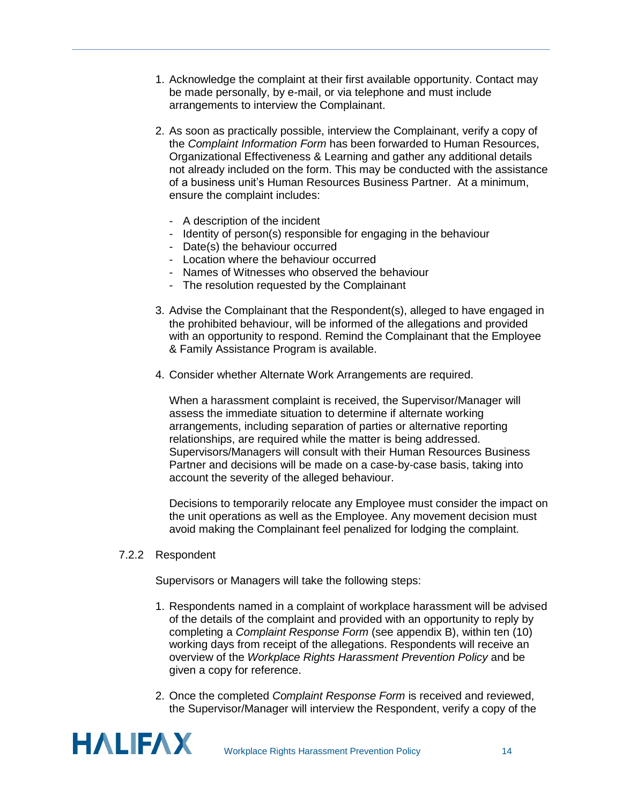- 1. Acknowledge the complaint at their first available opportunity. Contact may be made personally, by e-mail, or via telephone and must include arrangements to interview the Complainant.
- 2. As soon as practically possible, interview the Complainant, verify a copy of the *Complaint Information Form* has been forwarded to Human Resources, Organizational Effectiveness & Learning and gather any additional details not already included on the form. This may be conducted with the assistance of a business unit's Human Resources Business Partner. At a minimum, ensure the complaint includes:
	- A description of the incident
	- Identity of person(s) responsible for engaging in the behaviour
	- Date(s) the behaviour occurred
	- Location where the behaviour occurred
	- Names of Witnesses who observed the behaviour
	- The resolution requested by the Complainant
- 3. Advise the Complainant that the Respondent(s), alleged to have engaged in the prohibited behaviour, will be informed of the allegations and provided with an opportunity to respond. Remind the Complainant that the Employee & Family Assistance Program is available.
- 4. Consider whether Alternate Work Arrangements are required.

When a harassment complaint is received, the Supervisor/Manager will assess the immediate situation to determine if alternate working arrangements, including separation of parties or alternative reporting relationships, are required while the matter is being addressed. Supervisors/Managers will consult with their Human Resources Business Partner and decisions will be made on a case-by-case basis, taking into account the severity of the alleged behaviour.

Decisions to temporarily relocate any Employee must consider the impact on the unit operations as well as the Employee. Any movement decision must avoid making the Complainant feel penalized for lodging the complaint.

#### 7.2.2 Respondent

Supervisors or Managers will take the following steps:

- 1. Respondents named in a complaint of workplace harassment will be advised of the details of the complaint and provided with an opportunity to reply by completing a *Complaint Response Form* (see appendix B), within ten (10) working days from receipt of the allegations. Respondents will receive an overview of the *Workplace Rights Harassment Prevention Policy* and be given a copy for reference.
- 2. Once the completed *Complaint Response Form* is received and reviewed, the Supervisor/Manager will interview the Respondent, verify a copy of the

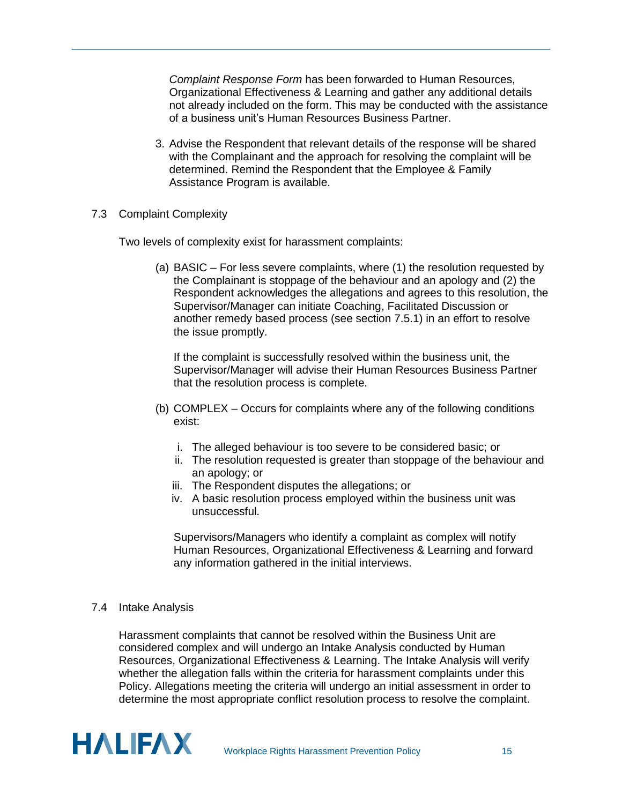*Complaint Response Form* has been forwarded to Human Resources, Organizational Effectiveness & Learning and gather any additional details not already included on the form. This may be conducted with the assistance of a business unit's Human Resources Business Partner.

- 3. Advise the Respondent that relevant details of the response will be shared with the Complainant and the approach for resolving the complaint will be determined. Remind the Respondent that the Employee & Family Assistance Program is available.
- <span id="page-16-0"></span>7.3 Complaint Complexity

Two levels of complexity exist for harassment complaints:

(a) BASIC – For less severe complaints, where (1) the resolution requested by the Complainant is stoppage of the behaviour and an apology and (2) the Respondent acknowledges the allegations and agrees to this resolution, the Supervisor/Manager can initiate Coaching, Facilitated Discussion or another remedy based process (see section 7.5.1) in an effort to resolve the issue promptly.

If the complaint is successfully resolved within the business unit, the Supervisor/Manager will advise their Human Resources Business Partner that the resolution process is complete.

- (b) COMPLEX Occurs for complaints where any of the following conditions exist:
	- i. The alleged behaviour is too severe to be considered basic; or
	- ii. The resolution requested is greater than stoppage of the behaviour and an apology; or
	- iii. The Respondent disputes the allegations; or
	- iv. A basic resolution process employed within the business unit was unsuccessful.

Supervisors/Managers who identify a complaint as complex will notify Human Resources, Organizational Effectiveness & Learning and forward any information gathered in the initial interviews.

<span id="page-16-1"></span>7.4 Intake Analysis

Harassment complaints that cannot be resolved within the Business Unit are considered complex and will undergo an Intake Analysis conducted by Human Resources, Organizational Effectiveness & Learning. The Intake Analysis will verify whether the allegation falls within the criteria for harassment complaints under this Policy. Allegations meeting the criteria will undergo an initial assessment in order to determine the most appropriate conflict resolution process to resolve the complaint.

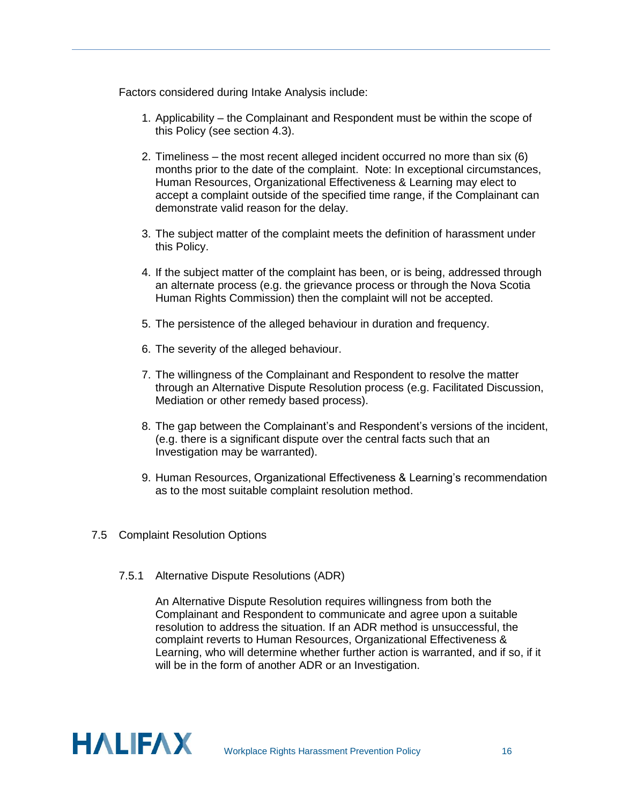Factors considered during Intake Analysis include:

- 1. Applicability the Complainant and Respondent must be within the scope of this Policy (see section 4.3).
- 2. Timeliness the most recent alleged incident occurred no more than six (6) months prior to the date of the complaint. Note: In exceptional circumstances, Human Resources, Organizational Effectiveness & Learning may elect to accept a complaint outside of the specified time range, if the Complainant can demonstrate valid reason for the delay.
- 3. The subject matter of the complaint meets the definition of harassment under this Policy.
- 4. If the subject matter of the complaint has been, or is being, addressed through an alternate process (e.g. the grievance process or through the Nova Scotia Human Rights Commission) then the complaint will not be accepted.
- 5. The persistence of the alleged behaviour in duration and frequency.
- 6. The severity of the alleged behaviour.
- 7. The willingness of the Complainant and Respondent to resolve the matter through an Alternative Dispute Resolution process (e.g. Facilitated Discussion, Mediation or other remedy based process).
- 8. The gap between the Complainant's and Respondent's versions of the incident, (e.g. there is a significant dispute over the central facts such that an Investigation may be warranted).
- 9. Human Resources, Organizational Effectiveness & Learning's recommendation as to the most suitable complaint resolution method.
- <span id="page-17-1"></span><span id="page-17-0"></span>7.5 Complaint Resolution Options
	- 7.5.1 Alternative Dispute Resolutions (ADR)

An Alternative Dispute Resolution requires willingness from both the Complainant and Respondent to communicate and agree upon a suitable resolution to address the situation. If an ADR method is unsuccessful, the complaint reverts to Human Resources, Organizational Effectiveness & Learning, who will determine whether further action is warranted, and if so, if it will be in the form of another ADR or an Investigation.

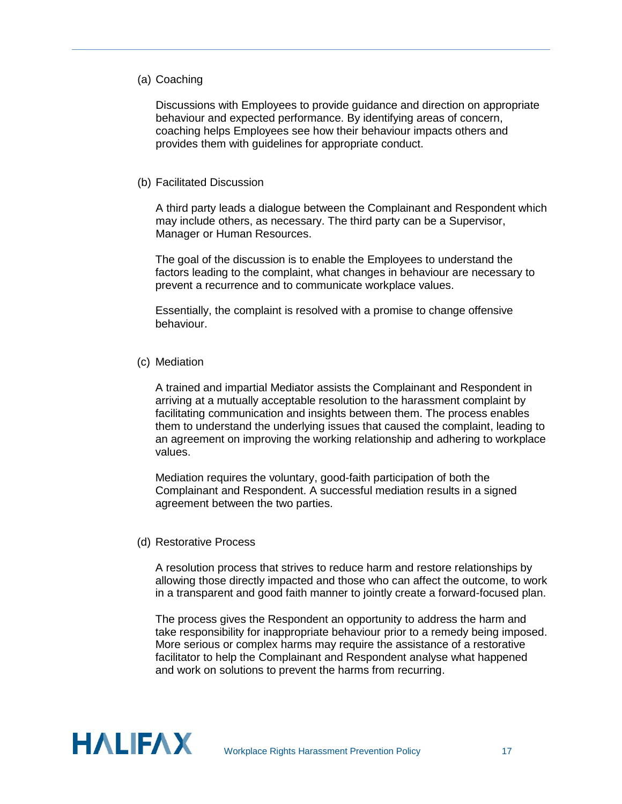#### (a) Coaching

Discussions with Employees to provide guidance and direction on appropriate behaviour and expected performance. By identifying areas of concern, coaching helps Employees see how their behaviour impacts others and provides them with guidelines for appropriate conduct.

#### (b) Facilitated Discussion

A third party leads a dialogue between the Complainant and Respondent which may include others, as necessary. The third party can be a Supervisor, Manager or Human Resources.

The goal of the discussion is to enable the Employees to understand the factors leading to the complaint, what changes in behaviour are necessary to prevent a recurrence and to communicate workplace values.

Essentially, the complaint is resolved with a promise to change offensive behaviour.

#### (c) Mediation

A trained and impartial Mediator assists the Complainant and Respondent in arriving at a mutually acceptable resolution to the harassment complaint by facilitating communication and insights between them. The process enables them to understand the underlying issues that caused the complaint, leading to an agreement on improving the working relationship and adhering to workplace values.

Mediation requires the voluntary, good-faith participation of both the Complainant and Respondent. A successful mediation results in a signed agreement between the two parties.

#### (d) Restorative Process

A resolution process that strives to reduce harm and restore relationships by allowing those directly impacted and those who can affect the outcome, to work in a transparent and good faith manner to jointly create a forward-focused plan.

The process gives the Respondent an opportunity to address the harm and take responsibility for inappropriate behaviour prior to a remedy being imposed. More serious or complex harms may require the assistance of a restorative facilitator to help the Complainant and Respondent analyse what happened and work on solutions to prevent the harms from recurring.

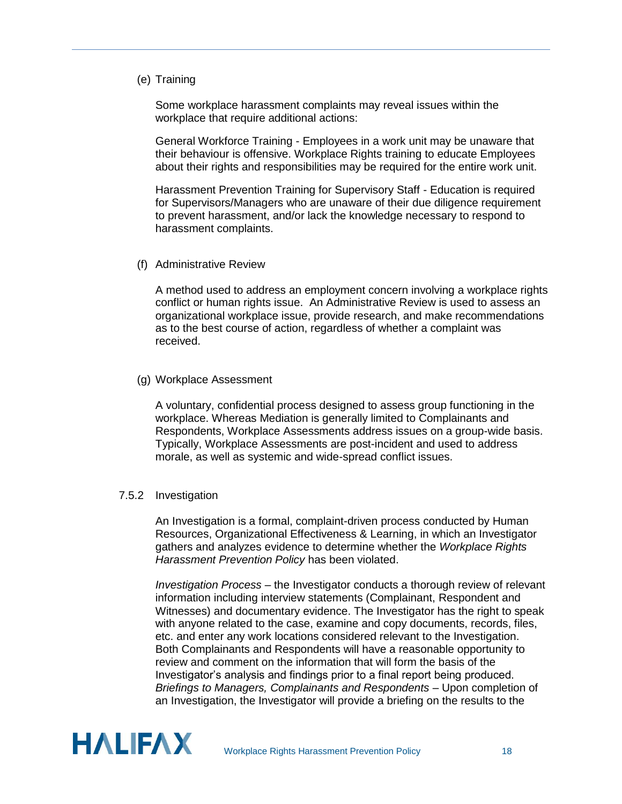#### (e) Training

Some workplace harassment complaints may reveal issues within the workplace that require additional actions:

General Workforce Training - Employees in a work unit may be unaware that their behaviour is offensive. Workplace Rights training to educate Employees about their rights and responsibilities may be required for the entire work unit.

Harassment Prevention Training for Supervisory Staff - Education is required for Supervisors/Managers who are unaware of their due diligence requirement to prevent harassment, and/or lack the knowledge necessary to respond to harassment complaints.

(f) Administrative Review

A method used to address an employment concern involving a workplace rights conflict or human rights issue. An Administrative Review is used to assess an organizational workplace issue, provide research, and make recommendations as to the best course of action, regardless of whether a complaint was received.

(g) Workplace Assessment

A voluntary, confidential process designed to assess group functioning in the workplace. Whereas Mediation is generally limited to Complainants and Respondents, Workplace Assessments address issues on a group-wide basis. Typically, Workplace Assessments are post-incident and used to address morale, as well as systemic and wide-spread conflict issues.

#### <span id="page-19-0"></span>7.5.2 Investigation

An Investigation is a formal, complaint-driven process conducted by Human Resources, Organizational Effectiveness & Learning, in which an Investigator gathers and analyzes evidence to determine whether the *Workplace Rights Harassment Prevention Policy* has been violated.

*Investigation Process –* the Investigator conducts a thorough review of relevant information including interview statements (Complainant, Respondent and Witnesses) and documentary evidence. The Investigator has the right to speak with anyone related to the case, examine and copy documents, records, files, etc. and enter any work locations considered relevant to the Investigation. Both Complainants and Respondents will have a reasonable opportunity to review and comment on the information that will form the basis of the Investigator's analysis and findings prior to a final report being produced. *Briefings to Managers, Complainants and Respondents* – Upon completion of an Investigation, the Investigator will provide a briefing on the results to the

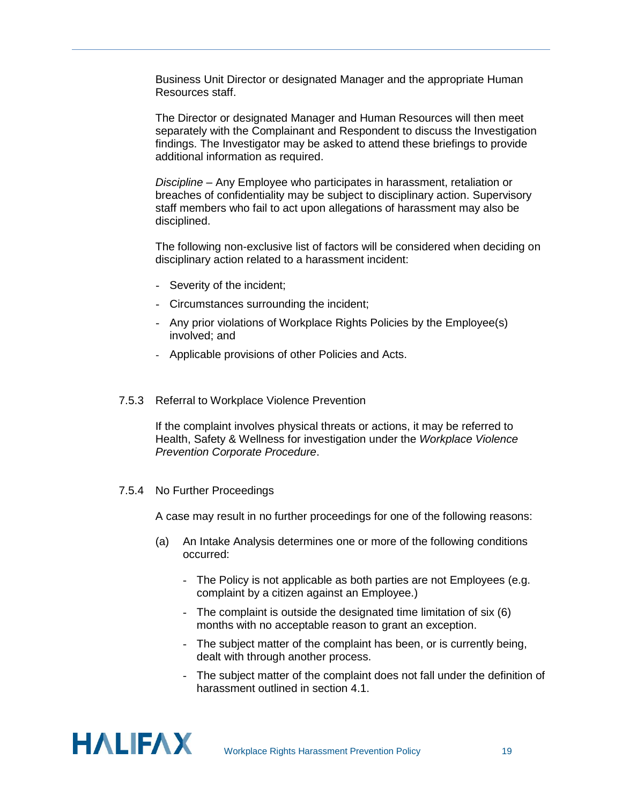Business Unit Director or designated Manager and the appropriate Human Resources staff.

The Director or designated Manager and Human Resources will then meet separately with the Complainant and Respondent to discuss the Investigation findings. The Investigator may be asked to attend these briefings to provide additional information as required.

*Discipline* – Any Employee who participates in harassment, retaliation or breaches of confidentiality may be subject to disciplinary action. Supervisory staff members who fail to act upon allegations of harassment may also be disciplined.

The following non-exclusive list of factors will be considered when deciding on disciplinary action related to a harassment incident:

- Severity of the incident;
- Circumstances surrounding the incident;
- Any prior violations of Workplace Rights Policies by the Employee(s) involved; and
- Applicable provisions of other Policies and Acts.
- <span id="page-20-0"></span>7.5.3 Referral to Workplace Violence Prevention

If the complaint involves physical threats or actions, it may be referred to Health, Safety & Wellness for investigation under the *Workplace Violence Prevention Corporate Procedure*.

#### <span id="page-20-1"></span>7.5.4 No Further Proceedings

A case may result in no further proceedings for one of the following reasons:

- (a) An Intake Analysis determines one or more of the following conditions occurred:
	- The Policy is not applicable as both parties are not Employees (e.g. complaint by a citizen against an Employee.)
	- The complaint is outside the designated time limitation of six (6) months with no acceptable reason to grant an exception.
	- The subject matter of the complaint has been, or is currently being, dealt with through another process.
	- The subject matter of the complaint does not fall under the definition of harassment outlined in section 4.1.

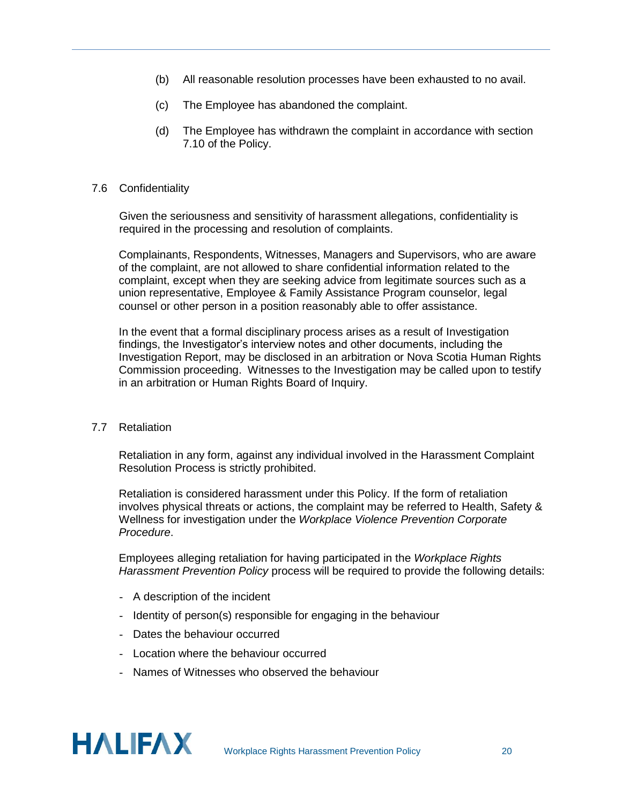- (b) All reasonable resolution processes have been exhausted to no avail.
- (c) The Employee has abandoned the complaint.
- (d) The Employee has withdrawn the complaint in accordance with section 7.10 of the Policy.

#### <span id="page-21-0"></span>7.6 Confidentiality

Given the seriousness and sensitivity of harassment allegations, confidentiality is required in the processing and resolution of complaints.

Complainants, Respondents, Witnesses, Managers and Supervisors, who are aware of the complaint, are not allowed to share confidential information related to the complaint, except when they are seeking advice from legitimate sources such as a union representative, Employee & Family Assistance Program counselor, legal counsel or other person in a position reasonably able to offer assistance.

In the event that a formal disciplinary process arises as a result of Investigation findings, the Investigator's interview notes and other documents, including the Investigation Report, may be disclosed in an arbitration or Nova Scotia Human Rights Commission proceeding. Witnesses to the Investigation may be called upon to testify in an arbitration or Human Rights Board of Inquiry.

#### <span id="page-21-1"></span>7.7 Retaliation

Retaliation in any form, against any individual involved in the Harassment Complaint Resolution Process is strictly prohibited.

Retaliation is considered harassment under this Policy. If the form of retaliation involves physical threats or actions, the complaint may be referred to Health, Safety & Wellness for investigation under the *Workplace Violence Prevention Corporate Procedure*.

Employees alleging retaliation for having participated in the *Workplace Rights Harassment Prevention Policy* process will be required to provide the following details:

- A description of the incident
- Identity of person(s) responsible for engaging in the behaviour
- Dates the behaviour occurred
- Location where the behaviour occurred
- Names of Witnesses who observed the behaviour

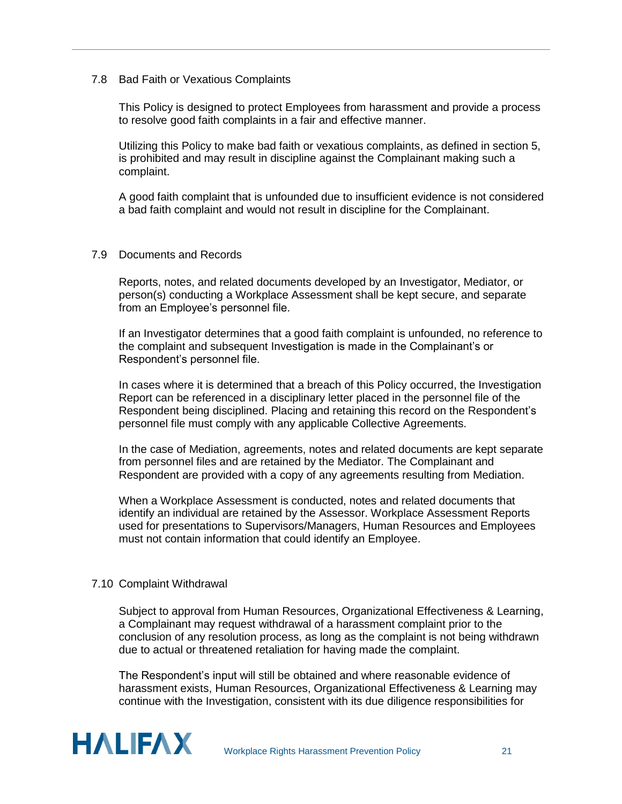#### <span id="page-22-0"></span>7.8 Bad Faith or Vexatious Complaints

This Policy is designed to protect Employees from harassment and provide a process to resolve good faith complaints in a fair and effective manner.

Utilizing this Policy to make bad faith or vexatious complaints, as defined in section 5, is prohibited and may result in discipline against the Complainant making such a complaint.

A good faith complaint that is unfounded due to insufficient evidence is not considered a bad faith complaint and would not result in discipline for the Complainant.

#### <span id="page-22-1"></span>7.9 Documents and Records

Reports, notes, and related documents developed by an Investigator, Mediator, or person(s) conducting a Workplace Assessment shall be kept secure, and separate from an Employee's personnel file.

If an Investigator determines that a good faith complaint is unfounded, no reference to the complaint and subsequent Investigation is made in the Complainant's or Respondent's personnel file.

In cases where it is determined that a breach of this Policy occurred, the Investigation Report can be referenced in a disciplinary letter placed in the personnel file of the Respondent being disciplined. Placing and retaining this record on the Respondent's personnel file must comply with any applicable Collective Agreements.

In the case of Mediation, agreements, notes and related documents are kept separate from personnel files and are retained by the Mediator. The Complainant and Respondent are provided with a copy of any agreements resulting from Mediation.

When a Workplace Assessment is conducted, notes and related documents that identify an individual are retained by the Assessor. Workplace Assessment Reports used for presentations to Supervisors/Managers, Human Resources and Employees must not contain information that could identify an Employee.

#### <span id="page-22-2"></span>7.10 Complaint Withdrawal

Subject to approval from Human Resources, Organizational Effectiveness & Learning, a Complainant may request withdrawal of a harassment complaint prior to the conclusion of any resolution process, as long as the complaint is not being withdrawn due to actual or threatened retaliation for having made the complaint.

The Respondent's input will still be obtained and where reasonable evidence of harassment exists, Human Resources, Organizational Effectiveness & Learning may continue with the Investigation, consistent with its due diligence responsibilities for

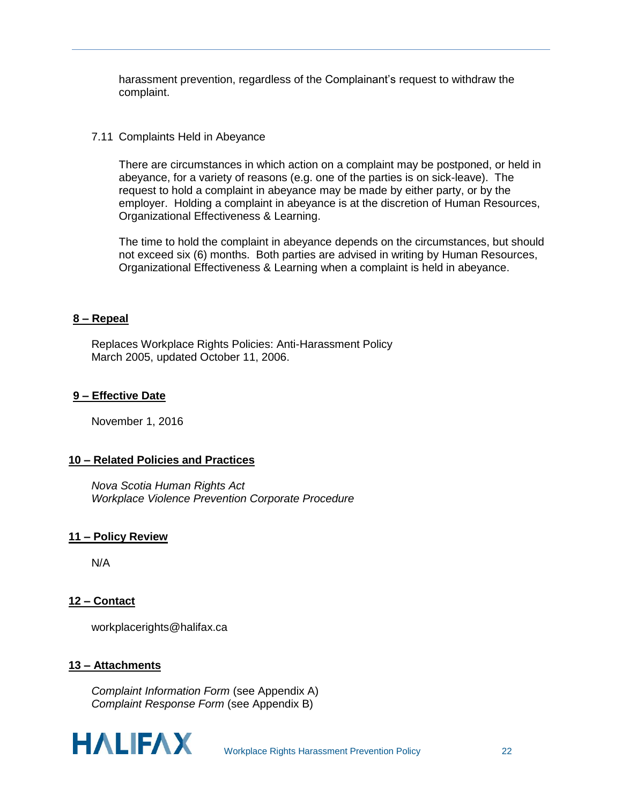harassment prevention, regardless of the Complainant's request to withdraw the complaint.

#### <span id="page-23-0"></span>7.11 Complaints Held in Abeyance

There are circumstances in which action on a complaint may be postponed, or held in abeyance, for a variety of reasons (e.g. one of the parties is on sick-leave). The request to hold a complaint in abeyance may be made by either party, or by the employer. Holding a complaint in abeyance is at the discretion of Human Resources, Organizational Effectiveness & Learning.

The time to hold the complaint in abeyance depends on the circumstances, but should not exceed six (6) months. Both parties are advised in writing by Human Resources, Organizational Effectiveness & Learning when a complaint is held in abeyance.

#### <span id="page-23-1"></span>**8 – Repeal**

Replaces Workplace Rights Policies: Anti-Harassment Policy March 2005, updated October 11, 2006.

#### <span id="page-23-2"></span>**9 – Effective Date**

November 1, 2016

#### <span id="page-23-3"></span>**10 – Related Policies and Practices**

*Nova Scotia Human Rights Act Workplace Violence Prevention Corporate Procedure*

#### <span id="page-23-4"></span>**11 – Policy Review**

N/A

#### <span id="page-23-5"></span>**12 – Contact**

workplacerights@halifax.ca

#### <span id="page-23-6"></span>**13 – Attachments**

*Complaint Information Form* (see Appendix A) *Complaint Response Form* (see Appendix B)

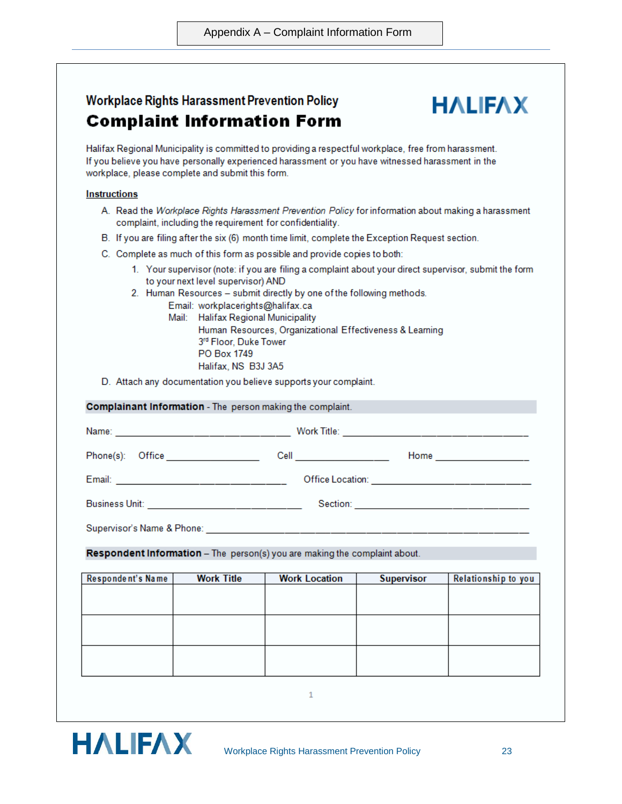## **Workplace Rights Harassment Prevention Policy Complaint Information Form**

## **HALIFAX**

Halifax Regional Municipality is committed to providing a respectful workplace, free from harassment. If you believe you have personally experienced harassment or you have witnessed harassment in the workplace, please complete and submit this form.

#### **Instructions**

- A. Read the Workplace Rights Harassment Prevention Policy for information about making a harassment complaint, including the requirement for confidentiality.
- B. If you are filing after the six (6) month time limit, complete the Exception Request section.
- C. Complete as much of this form as possible and provide copies to both:
	- 1. Your supervisor (note: if you are filing a complaint about your direct supervisor, submit the form to your next level supervisor) AND
	- 2. Human Resources submit directly by one of the following methods.
		- Email: workplacerights@halifax.ca Mail: Halifax Regional Municipality Human Resources, Organizational Effectiveness & Learning 3rd Floor, Duke Tower PO Box 1749 Halifax, NS B3J 3A5
- D. Attach any documentation you believe supports your complaint.

**Complainant Information** - The person making the complaint. 

| Phone(s):<br>Office<br>Cell<br>Home |  |
|-------------------------------------|--|
|-------------------------------------|--|

Email: Christmas Contract Contract Contract Contract Contract Contract Contract Contract Contract Contract Contract Contract Contract Contract Contract Contract Contract Contract Contract Contract Contract Contract Contrac

**Section:** Section: **Section: Section:** 

**Business Unit:** 

Respondent Information - The person(s) you are making the complaint about.

| Respondent's Name | <b>Work Title</b> | <b>Work Location</b> | <b>Supervisor</b> | Relationship to you |
|-------------------|-------------------|----------------------|-------------------|---------------------|
|                   |                   |                      |                   |                     |
|                   |                   |                      |                   |                     |
|                   |                   |                      |                   |                     |
|                   |                   |                      |                   |                     |
|                   |                   |                      |                   |                     |
|                   |                   |                      |                   |                     |
|                   |                   |                      |                   |                     |
|                   |                   |                      |                   |                     |

 $\mathbf{1}$ 

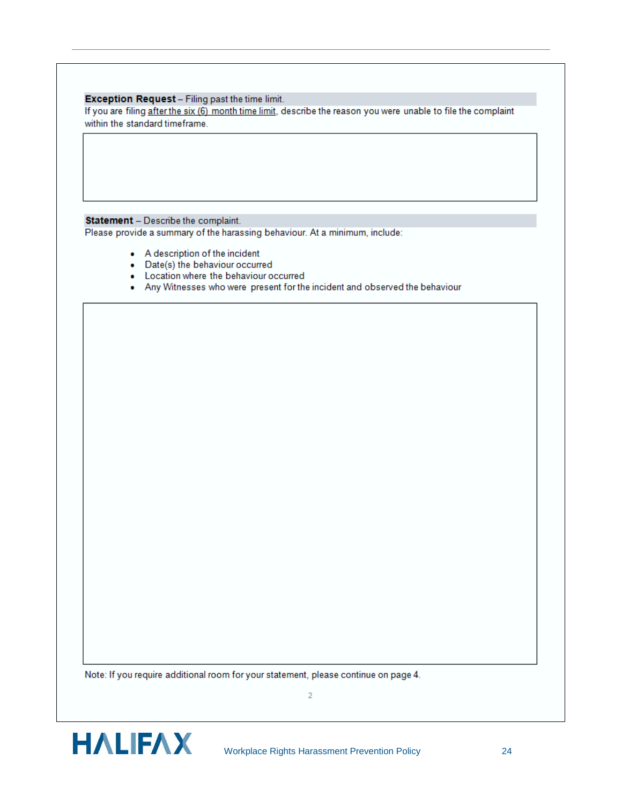#### Exception Request - Filing past the time limit.

If you are filing after the six (6) month time limit, describe the reason you were unable to file the complaint within the standard timeframe.

#### Statement - Describe the complaint.

Please provide a summary of the harassing behaviour. At a minimum, include:

- A description of the incident
- Date(s) the behaviour occurred
- Location where the behaviour occurred
- . Any Witnesses who were present for the incident and observed the behaviour

Note: If you require additional room for your statement, please continue on page 4.

 $\overline{2}$ 

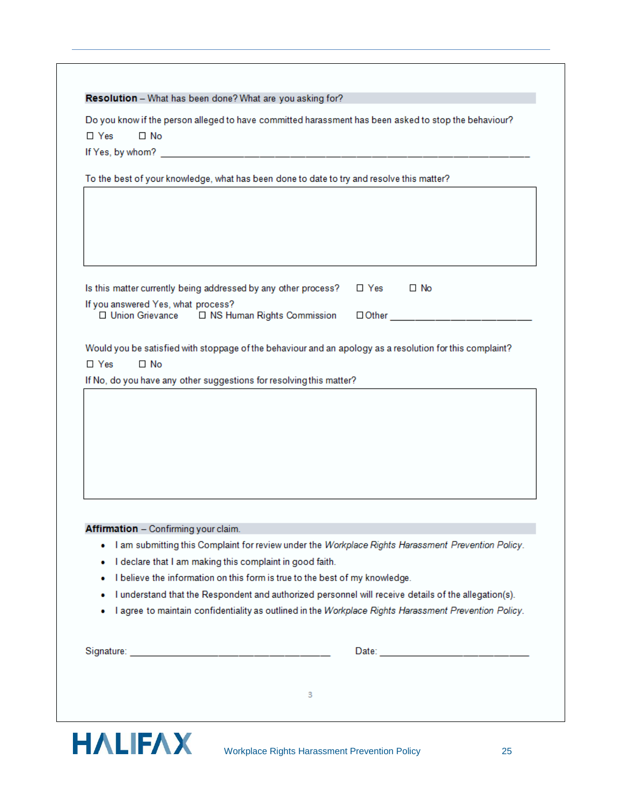| $\Box$ Yes | $\Box$ No                                                                                                             |
|------------|-----------------------------------------------------------------------------------------------------------------------|
|            |                                                                                                                       |
|            |                                                                                                                       |
|            | To the best of your knowledge, what has been done to date to try and resolve this matter?                             |
|            |                                                                                                                       |
|            |                                                                                                                       |
|            |                                                                                                                       |
|            |                                                                                                                       |
|            |                                                                                                                       |
|            | $\Box$ No<br>Is this matter currently being addressed by any other process?<br>$\Box$ Yes                             |
|            | If you answered Yes, what process?<br>□ Union Grievance<br>□ NS Human Rights Commission<br><b>Other Communication</b> |
|            |                                                                                                                       |
|            | Would you be satisfied with stoppage of the behaviour and an apology as a resolution for this complaint?              |
| $\Box$ Yes | $\Box$ No                                                                                                             |
|            | If No, do you have any other suggestions for resolving this matter?                                                   |
|            |                                                                                                                       |
|            |                                                                                                                       |
|            |                                                                                                                       |
|            |                                                                                                                       |
|            |                                                                                                                       |
|            |                                                                                                                       |
|            |                                                                                                                       |
|            |                                                                                                                       |
|            |                                                                                                                       |
|            | Affirmation - Confirming your claim.                                                                                  |
|            | I am submitting this Complaint for review under the Workplace Rights Harassment Prevention Policy.                    |
| ٠          | I declare that I am making this complaint in good faith.                                                              |
| ۰          | I believe the information on this form is true to the best of my knowledge.                                           |
| ۰          | I understand that the Respondent and authorized personnel will receive details of the allegation(s).                  |
| ۰          | I agree to maintain confidentiality as outlined in the Workplace Rights Harassment Prevention Policy.                 |
|            |                                                                                                                       |
|            |                                                                                                                       |
|            |                                                                                                                       |
|            |                                                                                                                       |
|            | 3                                                                                                                     |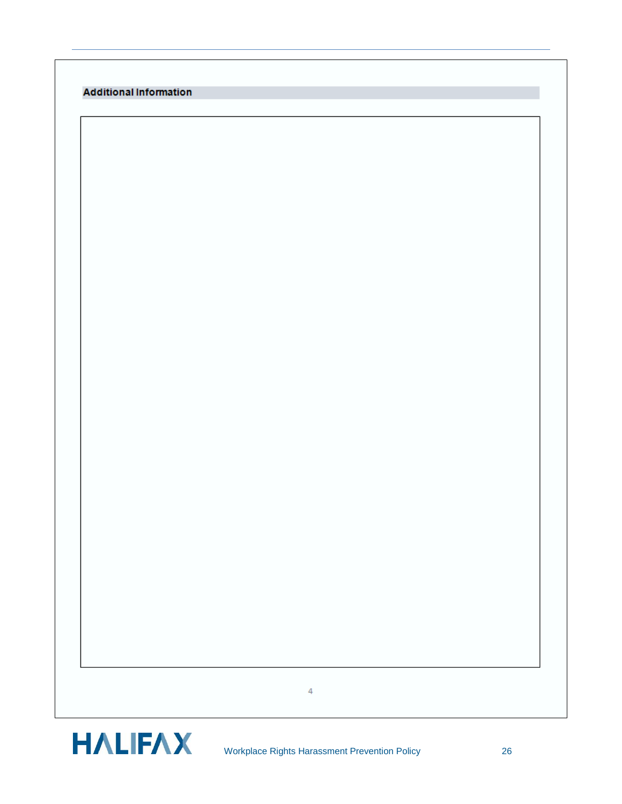

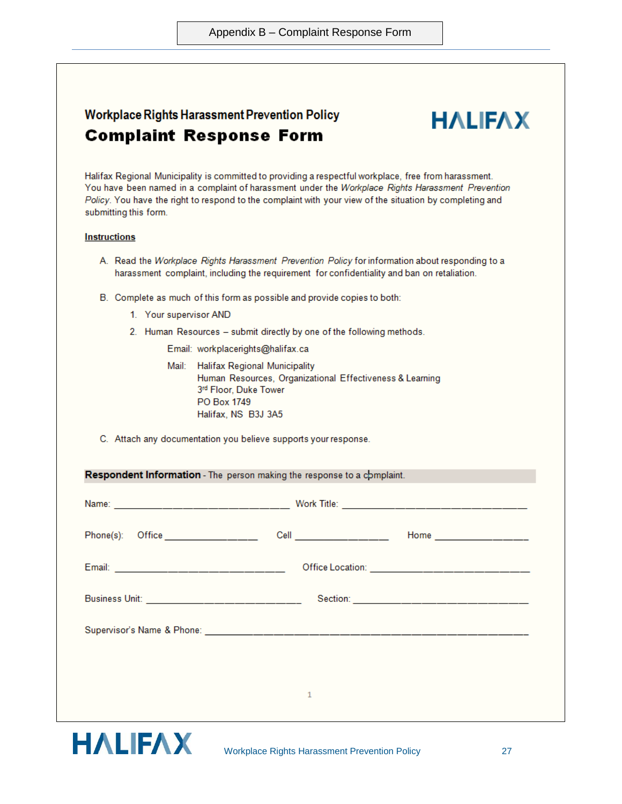|                       |                        | <b>Complaint Response Form</b>                                                                                                                                                                                                                                                                                         |                          |
|-----------------------|------------------------|------------------------------------------------------------------------------------------------------------------------------------------------------------------------------------------------------------------------------------------------------------------------------------------------------------------------|--------------------------|
| submitting this form. |                        | Halifax Regional Municipality is committed to providing a respectful workplace, free from harassment.<br>You have been named in a complaint of harassment under the Workplace Rights Harassment Prevention<br>Policy. You have the right to respond to the complaint with your view of the situation by completing and |                          |
| <b>Instructions</b>   |                        |                                                                                                                                                                                                                                                                                                                        |                          |
|                       |                        | A. Read the Workplace Rights Harassment Prevention Policy for information about responding to a<br>harassment complaint, including the requirement for confidentiality and ban on retaliation.                                                                                                                         |                          |
|                       |                        | B. Complete as much of this form as possible and provide copies to both:                                                                                                                                                                                                                                               |                          |
|                       | 1. Your supervisor AND |                                                                                                                                                                                                                                                                                                                        |                          |
|                       |                        | 2. Human Resources - submit directly by one of the following methods.                                                                                                                                                                                                                                                  |                          |
|                       |                        | Email: workplacerights@halifax.ca                                                                                                                                                                                                                                                                                      |                          |
|                       |                        | Mail: Halifax Regional Municipality<br>Human Resources, Organizational Effectiveness & Learning<br>3rd Floor, Duke Tower<br>PO Box 1749<br>Halifax, NS B3J 3A5                                                                                                                                                         |                          |
|                       |                        | C. Attach any documentation you believe supports your response.                                                                                                                                                                                                                                                        |                          |
|                       |                        | Respondent Information - The person making the response to a complaint.                                                                                                                                                                                                                                                |                          |
| Name:                 |                        | Work Title:                                                                                                                                                                                                                                                                                                            |                          |
|                       |                        | Phone(s): Office _________________<br>Cell _________________                                                                                                                                                                                                                                                           | Home ___________________ |
|                       |                        |                                                                                                                                                                                                                                                                                                                        |                          |
|                       |                        |                                                                                                                                                                                                                                                                                                                        |                          |
|                       |                        |                                                                                                                                                                                                                                                                                                                        |                          |

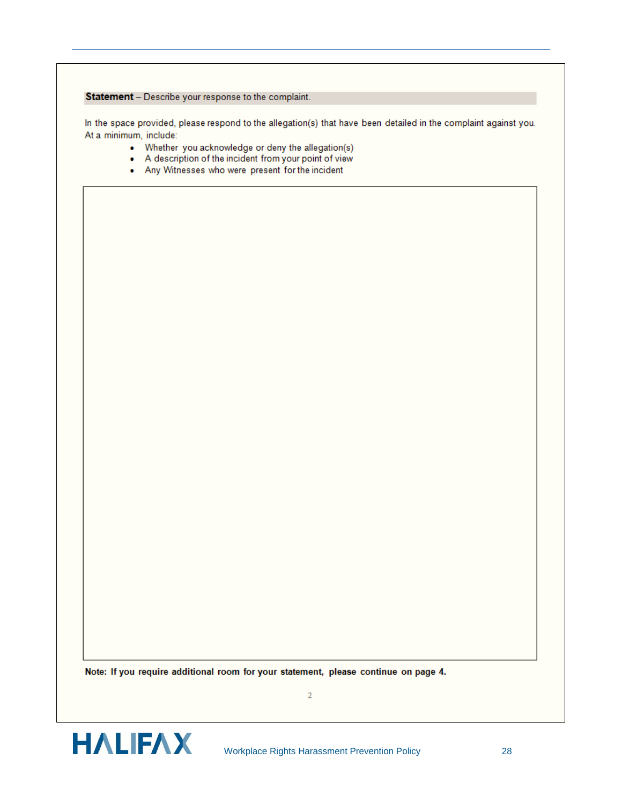#### Statement - Describe your response to the complaint.

In the space provided, please respond to the allegation(s) that have been detailed in the complaint against you. At a minimum, include:

- Whether you acknowledge or deny the allegation(s)
- A description of the incident from your point of view
- . Any Witnesses who were present for the incident

Note: If you require additional room for your statement, please continue on page 4.

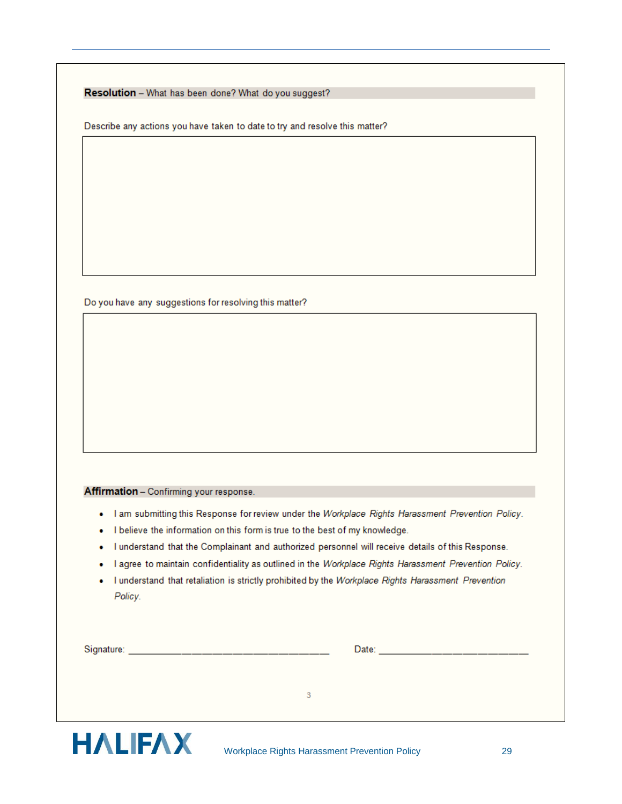|  |  |  |  |  | Resolution - What has been done? What do you suggest? |
|--|--|--|--|--|-------------------------------------------------------|
|--|--|--|--|--|-------------------------------------------------------|

Describe any actions you have taken to date to try and resolve this matter?

Do you have any suggestions for resolving this matter?

#### Affirmation - Confirming your response.

- . I am submitting this Response for review under the Workplace Rights Harassment Prevention Policy.
- . I believe the information on this form is true to the best of my knowledge.
- I understand that the Complainant and authorized personnel will receive details of this Response.
- . I agree to maintain confidentiality as outlined in the Workplace Rights Harassment Prevention Policy.
- . I understand that retaliation is strictly prohibited by the Workplace Rights Harassment Prevention Policy.

| Signature: |  |  |
|------------|--|--|
|            |  |  |
|            |  |  |
|            |  |  |



 $\overline{3}$